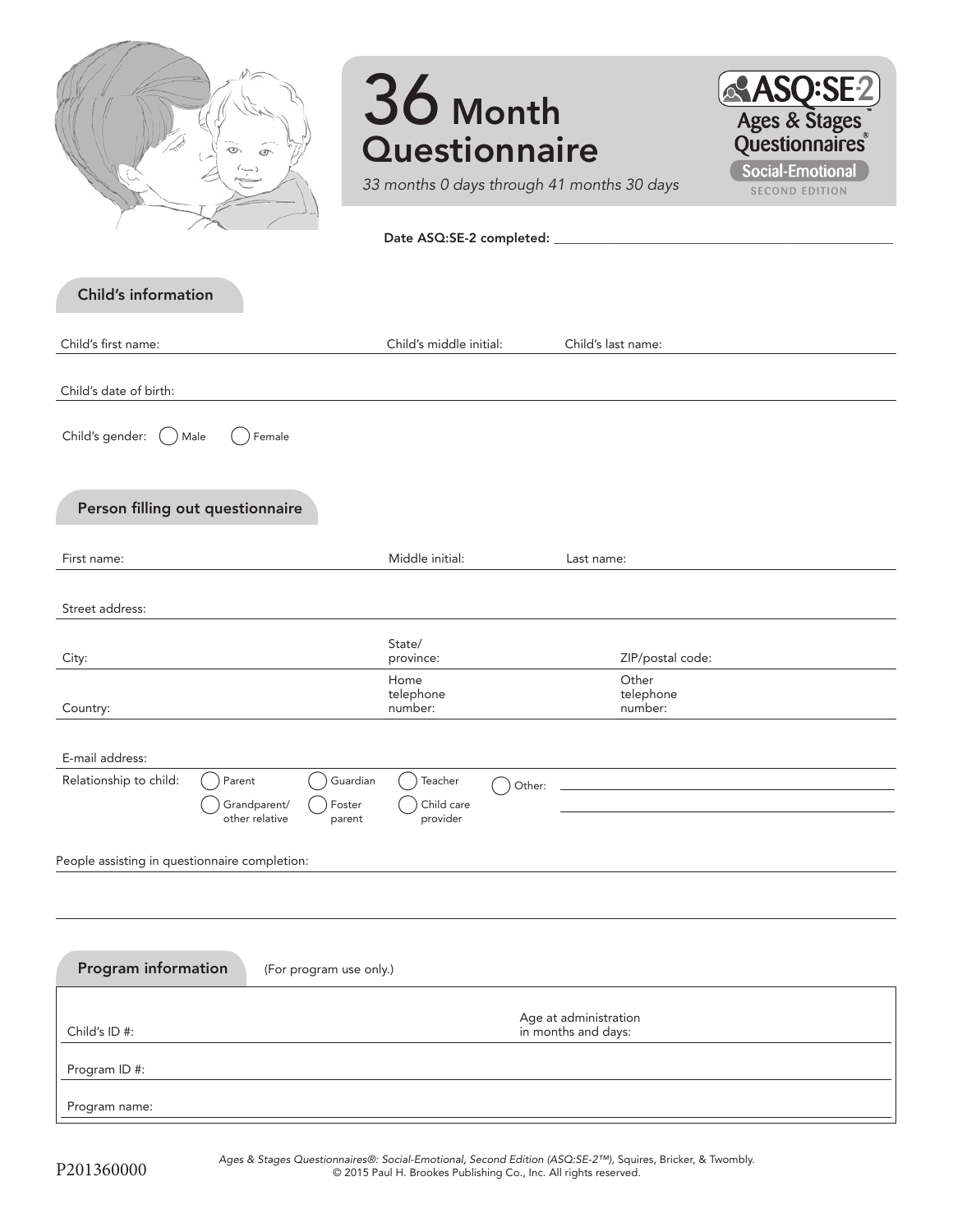|                                                                                                    | 36 Month<br><b>Questionnaire</b><br>33 months 0 days through 41 months 30 days |                                              | <b>ASQ:SE2</b><br>Ages & Stages<br>Questionnaires<br><b>Social-Emotional</b><br><b>SECOND EDITION</b> |
|----------------------------------------------------------------------------------------------------|--------------------------------------------------------------------------------|----------------------------------------------|-------------------------------------------------------------------------------------------------------|
|                                                                                                    |                                                                                |                                              |                                                                                                       |
| <b>Child's information</b>                                                                         |                                                                                |                                              |                                                                                                       |
| Child's first name:                                                                                | Child's middle initial:                                                        | Child's last name:                           |                                                                                                       |
| Child's date of birth:                                                                             |                                                                                |                                              |                                                                                                       |
| Child's gender:<br>Male<br>Female                                                                  |                                                                                |                                              |                                                                                                       |
| Person filling out questionnaire                                                                   |                                                                                |                                              |                                                                                                       |
| First name:                                                                                        | Middle initial:                                                                | Last name:                                   |                                                                                                       |
| Street address:                                                                                    |                                                                                |                                              |                                                                                                       |
| City:                                                                                              | State/<br>province:                                                            | ZIP/postal code:                             |                                                                                                       |
| Country:                                                                                           | Home<br>telephone<br>number:                                                   | Other<br>telephone<br>number:                |                                                                                                       |
| E-mail address:                                                                                    |                                                                                |                                              |                                                                                                       |
| Relationship to child:<br>Guardian<br>Parent<br>Grandparent/<br>Foster<br>other relative<br>parent | Teacher<br>Other:<br>Child care<br>provider                                    |                                              |                                                                                                       |
| People assisting in questionnaire completion:                                                      |                                                                                |                                              |                                                                                                       |
|                                                                                                    |                                                                                |                                              |                                                                                                       |
| Program information<br>(For program use only.)                                                     |                                                                                |                                              |                                                                                                       |
| Child's ID#:                                                                                       |                                                                                | Age at administration<br>in months and days: |                                                                                                       |
| Program ID #:                                                                                      |                                                                                |                                              |                                                                                                       |
| Program name:                                                                                      |                                                                                |                                              |                                                                                                       |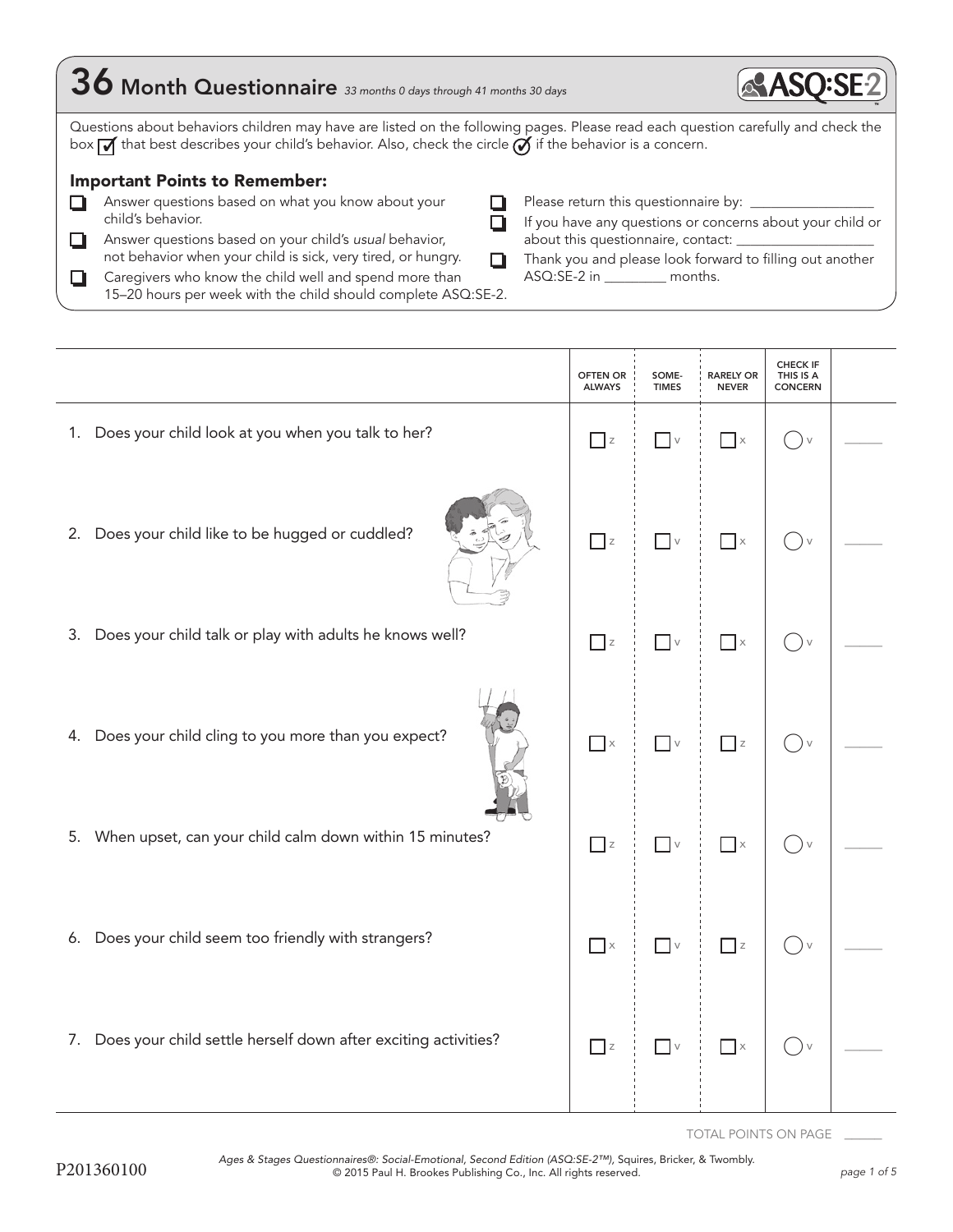| $36$ Month Questionnaire 33 months 0 days through 41 months 30 days                                                                                                                                                                                                                                                          |                                                                                                                                                                                               |
|------------------------------------------------------------------------------------------------------------------------------------------------------------------------------------------------------------------------------------------------------------------------------------------------------------------------------|-----------------------------------------------------------------------------------------------------------------------------------------------------------------------------------------------|
| Questions about behaviors children may have are listed on the following pages. Please read each question carefully and check the<br>box $\overline{M}$ that best describes your child's behavior. Also, check the circle $\overline{M}$ if the behavior is a concern.<br><b>Important Points to Remember:</b>                |                                                                                                                                                                                               |
| Answer questions based on what you know about your<br>child's behavior.<br>Answer questions based on your child's usual behavior,<br>not behavior when your child is sick, very tired, or hungry.<br>Caregivers who know the child well and spend more than<br>15-20 hours per week with the child should complete ASQ:SE-2. | If you have any questions or concerns about your child or<br>about this questionnaire, contact:<br>Thank you and please look forward to filling out another<br>ASQ:SE-2 in __________ months. |

|                                                                   | <b>OFTEN OR</b><br><b>ALWAYS</b> | SOME-<br><b>TIMES</b>           | <b>RARELY OR</b><br><b>NEVER</b> | <b>CHECK IF</b><br>THIS IS A<br><b>CONCERN</b> |  |
|-------------------------------------------------------------------|----------------------------------|---------------------------------|----------------------------------|------------------------------------------------|--|
| Does your child look at you when you talk to her?<br>1.           | $\Box$ z                         | $\Box$ v                        | $\vert \cdot \vert$ x            | $(\ )_{\vee}$                                  |  |
| 2. Does your child like to be hugged or cuddled?                  | $\Box$ z                         | $\blacksquare$ $\lor$           | $\Box$ x                         | $()$ v                                         |  |
| Does your child talk or play with adults he knows well?<br>3.     | $\Box$ z                         | $\Box$ v                        | $\Box$ x                         | $\bigcap v$                                    |  |
| 4. Does your child cling to you more than you expect?             | $\Box$ x                         | $\hfill\ensuremath{\mathsf{V}}$ | $\Box$ z                         | $()_{\vee}$                                    |  |
| When upset, can your child calm down within 15 minutes?<br>5.     | $\overline{\phantom{a}}$ z       | $\overline{\phantom{a}}$ v      | $\Box$ x                         | $\bigcap v$                                    |  |
| 6. Does your child seem too friendly with strangers?              | $\Box$ x                         | $\Box$ v                        | $\Box$ z                         | $()$ v                                         |  |
| 7. Does your child settle herself down after exciting activities? | $\Box$ z                         | $\overline{\phantom{a}}$ v      | $\prod x$                        | $()$ v                                         |  |

TOTAL POINTS ON PAGE \_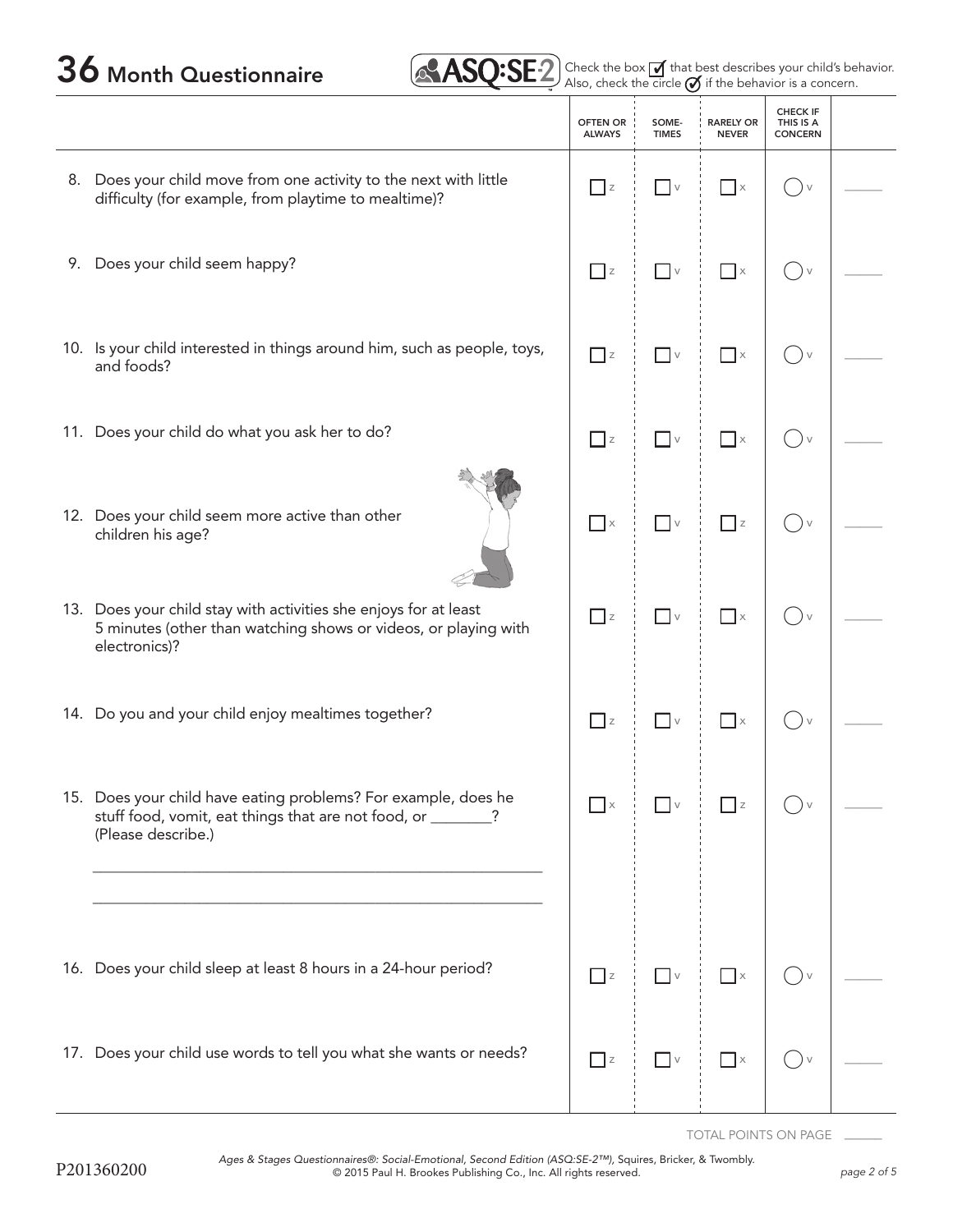# $36$  Month Questionnaire  $\text{ASQ:SE2}$  Check the box  $\text{Z}$  that best describes your child's behavior.

|  | $\mathsf{SQ}\mathsf{SE2}\$ Check the box $\mathsf{Z}\!\!\!\!\mathsf{I}$ that best d<br>Also, check the circle $\mathscr{A}$ if the |  |  |  |
|--|------------------------------------------------------------------------------------------------------------------------------------|--|--|--|
|  |                                                                                                                                    |  |  |  |

check the circle  $\emptyset$  if the behavior is a concern.

|    |                                                                                                                                                      | <b>OFTEN OR</b><br><b>ALWAYS</b>  | SOME-<br><b>TIMES</b>           | <b>RARELY OR</b><br><b>NEVER</b> | <b>CHECK IF</b><br>THIS IS A<br><b>CONCERN</b> |  |
|----|------------------------------------------------------------------------------------------------------------------------------------------------------|-----------------------------------|---------------------------------|----------------------------------|------------------------------------------------|--|
|    | 8. Does your child move from one activity to the next with little<br>difficulty (for example, from playtime to mealtime)?                            | $\Box$ z                          | $\vee$                          | $\Box$ x                         | $($ )<br>$\vee$                                |  |
| 9. | Does your child seem happy?                                                                                                                          | $\Box$ z                          | $\vee$                          | $\Box$                           | $() \vee$                                      |  |
|    | 10. Is your child interested in things around him, such as people, toys,<br>and foods?                                                               | $\Box$ z                          | $\overline{\phantom{a}}$ v      | $\Box$ $\times$                  | $(\ )_{\vee}$                                  |  |
|    | 11. Does your child do what you ask her to do?                                                                                                       | $\Box$ z                          | $\vee$                          | $\Box$                           | $() \vee$                                      |  |
|    | 12. Does your child seem more active than other<br>children his age?                                                                                 | $\overline{\phantom{a}}$ $\times$ | $\vee$                          | $\Box$ z                         | $()$ v                                         |  |
|    | 13. Does your child stay with activities she enjoys for at least<br>5 minutes (other than watching shows or videos, or playing with<br>electronics)? | $\Box$ z                          | $\overline{\phantom{a}}$ v      | $\Box$ x                         | $()$ v                                         |  |
|    | 14. Do you and your child enjoy mealtimes together?                                                                                                  | $\Box$ z                          | $\hfill\ensuremath{\mathsf{V}}$ | $\Box$ x                         |                                                |  |
|    | 15. Does your child have eating problems? For example, does he<br>stuff food, vomit, eat things that are not food, or ______<br>(Please describe.)   | $\overline{X}$                    |                                 |                                  |                                                |  |
|    |                                                                                                                                                      |                                   |                                 |                                  |                                                |  |
|    | 16. Does your child sleep at least 8 hours in a 24-hour period?                                                                                      | $\overline{\phantom{a}}$ z        | $\blacksquare$ V                | $\Box$ x                         |                                                |  |
|    | 17. Does your child use words to tell you what she wants or needs?                                                                                   | $\Box$ z                          | $\hfill\ensuremath{\mathsf{V}}$ | $\Box$ x                         | $\bigvee$                                      |  |

TOTAL POINTS ON PAGE \_\_\_\_\_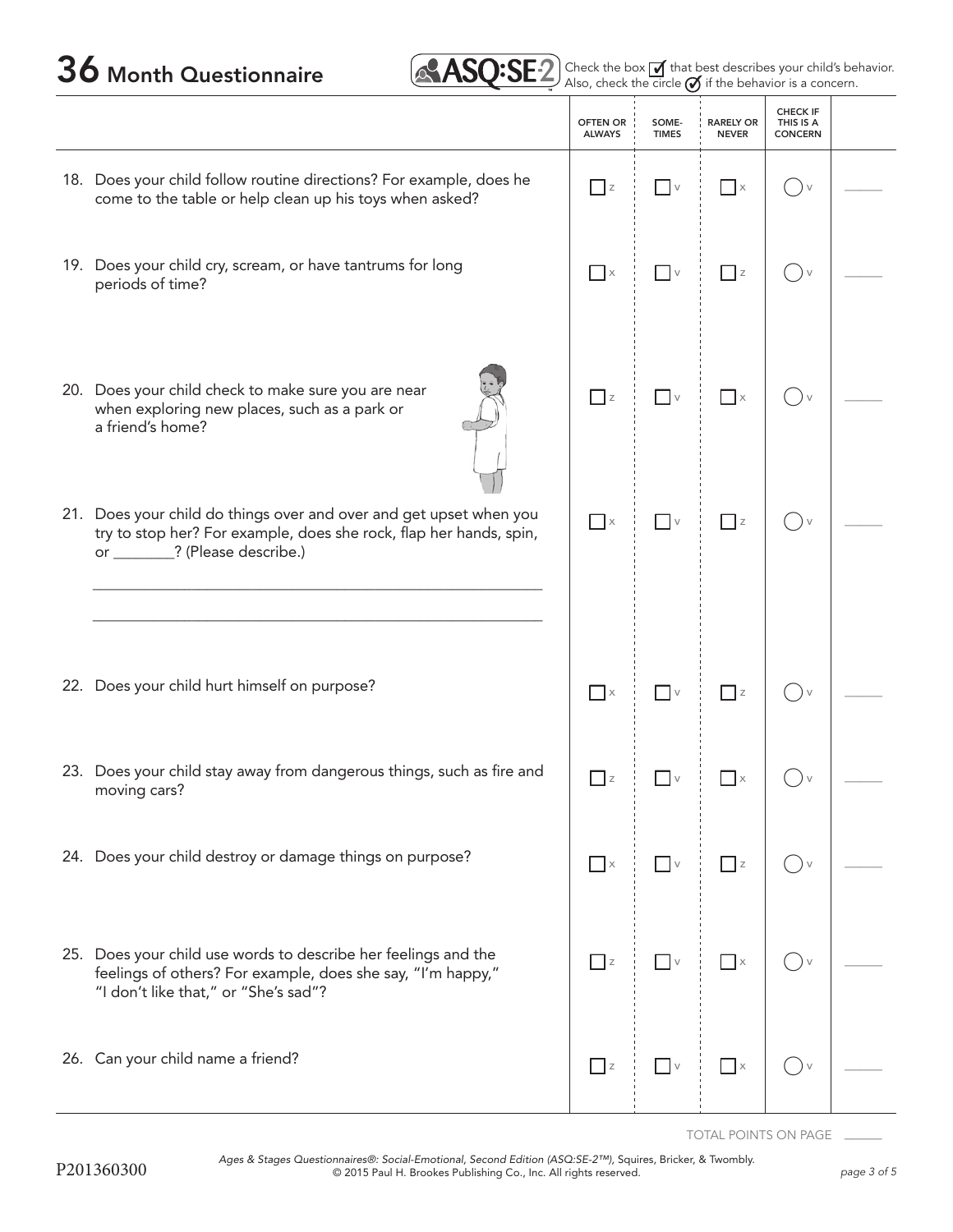| 36 Month Questionnaire | <b>ASQ:SE</b> 2 Check the box <b>M</b> that best describes your child's behavior. |
|------------------------|-----------------------------------------------------------------------------------|
|------------------------|-----------------------------------------------------------------------------------|

|     |                                                                                                                                                                         | <b>OFTEN OR</b><br><b>ALWAYS</b> | SOME-<br><b>TIMES</b>           | <b>RARELY OR</b><br><b>NEVER</b> | <b>CHECK IF</b><br>THIS IS A<br><b>CONCERN</b> |              |
|-----|-------------------------------------------------------------------------------------------------------------------------------------------------------------------------|----------------------------------|---------------------------------|----------------------------------|------------------------------------------------|--------------|
|     | 18. Does your child follow routine directions? For example, does he<br>come to the table or help clean up his toys when asked?                                          | $\Box$ z                         | $\Box$ v                        | $\Box$ x                         | $\vee$<br>$\qquad \qquad$                      |              |
|     | 19. Does your child cry, scream, or have tantrums for long<br>periods of time?                                                                                          | $\Box$ $\times$                  | $\Box$ v                        | $\Box$ z                         | $\rightarrow$ $\vee$                           |              |
|     | 20. Does your child check to make sure you are near<br>when exploring new places, such as a park or<br>a friend's home?                                                 | $\Box$ z                         | $\hfill\ensuremath{\mathsf{V}}$ | $\Box$ x                         | $\vee$<br>$($ )                                |              |
| 21. | Does your child do things over and over and get upset when you<br>try to stop her? For example, does she rock, flap her hands, spin,<br>or ________? (Please describe.) | $\Box$ x                         | $\overline{\phantom{a}}$ v      | $\Box$ z                         |                                                |              |
|     |                                                                                                                                                                         |                                  |                                 |                                  |                                                |              |
|     | 22. Does your child hurt himself on purpose?                                                                                                                            | $\Box$ $\times$                  | $\overline{\phantom{a}}$ v      | $\overline{\phantom{a}}$ z       | ( ) v                                          |              |
|     | 23. Does your child stay away from dangerous things, such as fire and<br>moving cars?                                                                                   | $\Box$ z                         | $\vee$                          | $\Box$ $\times$                  |                                                |              |
|     | 24. Does your child destroy or damage things on purpose?                                                                                                                | $\Box$ x                         | $\overline{\phantom{a}}$ v      | $\Box$ z                         |                                                |              |
|     | 25. Does your child use words to describe her feelings and the<br>feelings of others? For example, does she say, "I'm happy,"<br>"I don't like that," or "She's sad"?   | $\Box$ z                         | $\sqrt{v}$                      | $\hfill \square$ $\times$        |                                                | $\mathbb{R}$ |
|     | 26. Can your child name a friend?                                                                                                                                       | $\overline{z}$                   | $\Box$ v $\Box$                 | $\Box$ x                         |                                                |              |

TOTAL POINTS ON PAGE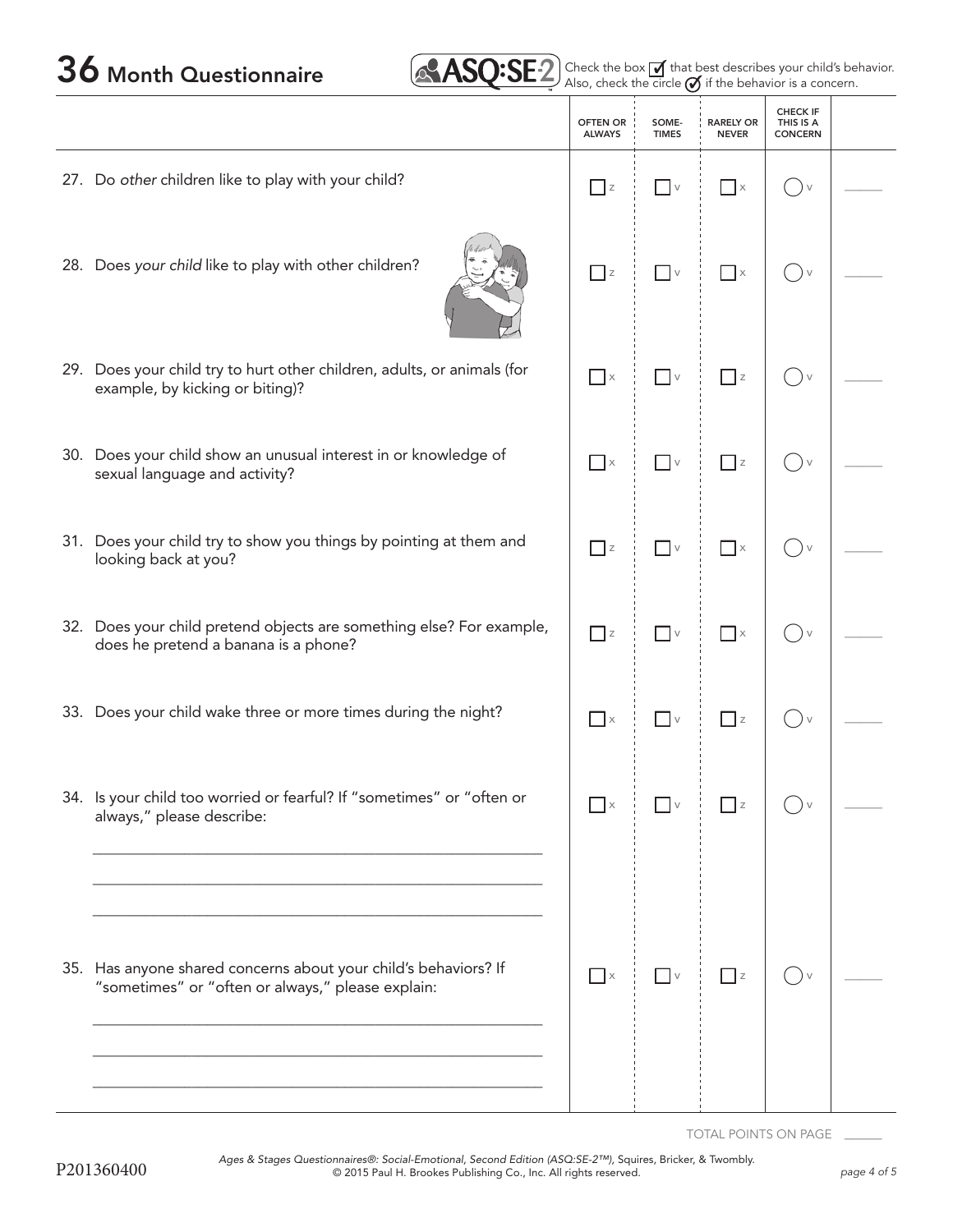$36$  Month Questionnaire  $\sqrt{8ASQ:SE2}$  Check the box  $\overline{A}$  that best describes your child's behavior.

|                                                                                                                      | <b>OFTEN OR</b><br><b>ALWAYS</b> | SOME-<br><b>TIMES</b>           | <b>RARELY OR</b><br><b>NEVER</b> | <b>CHECK IF</b><br>THIS IS A<br><b>CONCERN</b>          |  |
|----------------------------------------------------------------------------------------------------------------------|----------------------------------|---------------------------------|----------------------------------|---------------------------------------------------------|--|
| 27. Do other children like to play with your child?                                                                  | Z                                | $\vert \vert \vee$              | $\mathsf{I} \times$              | $($ )<br>$\vee$                                         |  |
| 28. Does your child like to play with other children?                                                                | $\Box$ z                         | $\hfill\ensuremath{\mathsf{V}}$ | $\Box$ $\times$                  | $\vee$<br>$\qquad \qquad \Box$                          |  |
| 29. Does your child try to hurt other children, adults, or animals (for<br>example, by kicking or biting)?           | $\Box$ x                         | $\Box$ v                        | $\overline{\phantom{a}}$ z       | $\vee$                                                  |  |
| 30. Does your child show an unusual interest in or knowledge of<br>sexual language and activity?                     | $\Box$ x                         | $\hfill\ensuremath{\mathsf{V}}$ | $\Box$ z                         | $()$ v                                                  |  |
| 31. Does your child try to show you things by pointing at them and<br>looking back at you?                           | $\Box$ z                         | $\Box$ v                        | $\Box$ x                         | $\bigcup$ $\vee$                                        |  |
| 32. Does your child pretend objects are something else? For example,<br>does he pretend a banana is a phone?         | $\overline{\phantom{a}}$ z       | $\hfill\ensuremath{\mathsf{V}}$ | $\Box$ x                         | $(\ )_{\vee}$                                           |  |
| 33. Does your child wake three or more times during the night?                                                       | $\Box$ x                         | $\overline{\phantom{a}}$ v      | $\Box$ z                         | $\left( \begin{array}{c} \end{array} \right)$<br>$\vee$ |  |
| 34. Is your child too worried or fearful? If "sometimes" or "often or<br>always," please describe:                   | $\Box$ x                         | $\overline{\phantom{a}}$        | z                                |                                                         |  |
| 35. Has anyone shared concerns about your child's behaviors? If<br>"sometimes" or "often or always," please explain: | $\Box$ x                         | $\overline{\phantom{a}}$ v      | $\Box$ z                         |                                                         |  |
|                                                                                                                      |                                  |                                 |                                  |                                                         |  |

TOTAL POINTS ON PAGE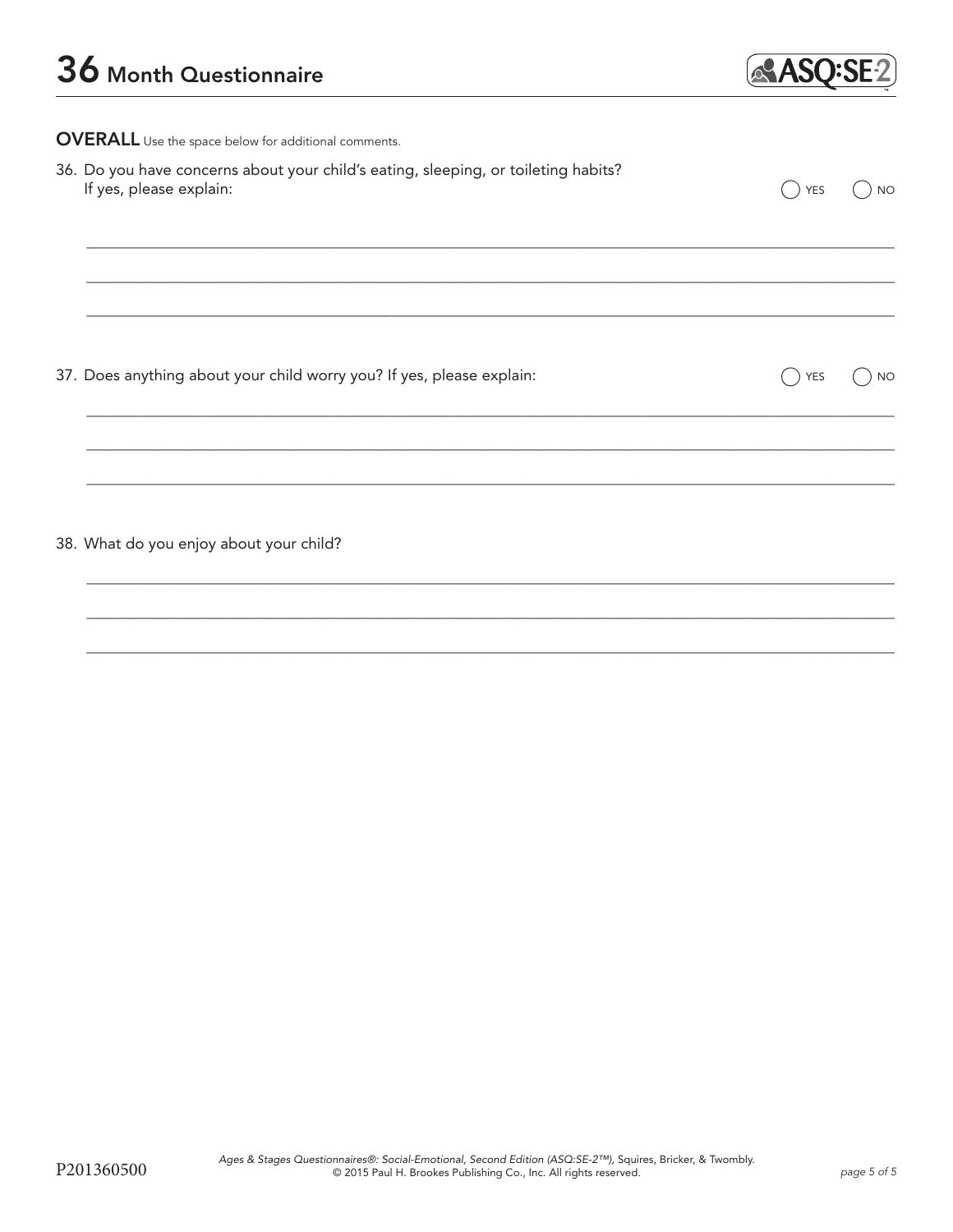

**OVERALL** Use the space below for additional comments.

| 36. Do you have concerns about your child's eating, sleeping, or toileting habits?<br>If yes, please explain: | $()$ YES $()$ NO |
|---------------------------------------------------------------------------------------------------------------|------------------|
|                                                                                                               |                  |

37. Does anything about your child worry you? If yes, please explain:

 $\bigcap$  YES  $\bigcirc$  NO

38. What do you enjoy about your child?